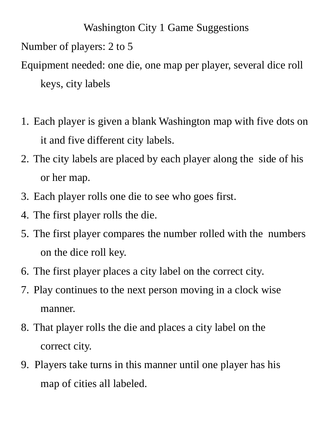Washington City 1 Game Suggestions Number of players: 2 to 5 Equipment needed: one die, one map per player, several dice roll keys, city labels

- 1. Each player is given a blank Washington map with five dots on it and five different city labels.
- 2. The city labels are placed by each player along the side of his or her map.
- 3. Each player rolls one die to see who goes first.
- 4. The first player rolls the die.
- 5. The first player compares the number rolled with the numbers on the dice roll key.
- 6. The first player places a city label on the correct city.
- 7. Play continues to the next person moving in a clock wise manner.
- 8. That player rolls the die and places a city label on the correct city.
- 9. Players take turns in this manner until one player has his map of cities all labeled.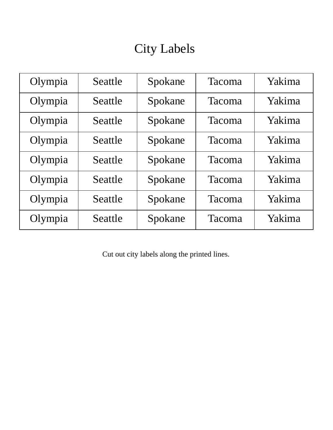## City Labels

| Olympia | Seattle | Spokane | Tacoma        | Yakima |
|---------|---------|---------|---------------|--------|
| Olympia | Seattle | Spokane | Tacoma        | Yakima |
| Olympia | Seattle | Spokane | Tacoma        | Yakima |
| Olympia | Seattle | Spokane | Tacoma        | Yakima |
| Olympia | Seattle | Spokane | <b>Tacoma</b> | Yakima |
| Olympia | Seattle | Spokane | Tacoma        | Yakima |
| Olympia | Seattle | Spokane | Tacoma        | Yakima |
| Olympia | Seattle | Spokane | Tacoma        | Yakima |

Cut out city labels along the printed lines.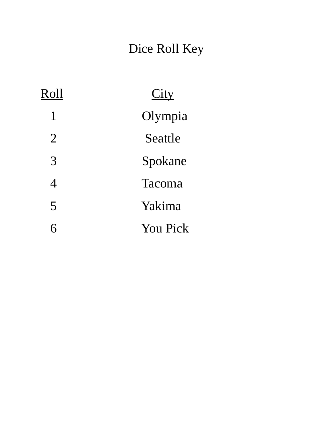## Dice Roll Key

| Roll           | City            |
|----------------|-----------------|
| 1              | Olympia         |
| $\overline{2}$ | Seattle         |
| 3              | Spokane         |
| $\overline{4}$ | Tacoma          |
| 5              | Yakima          |
| К              | <b>You Pick</b> |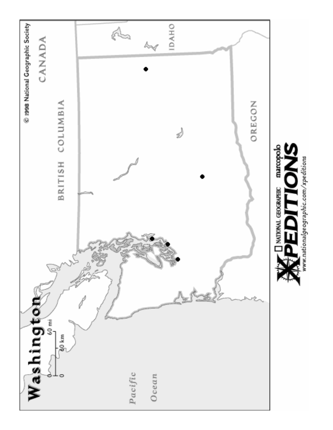